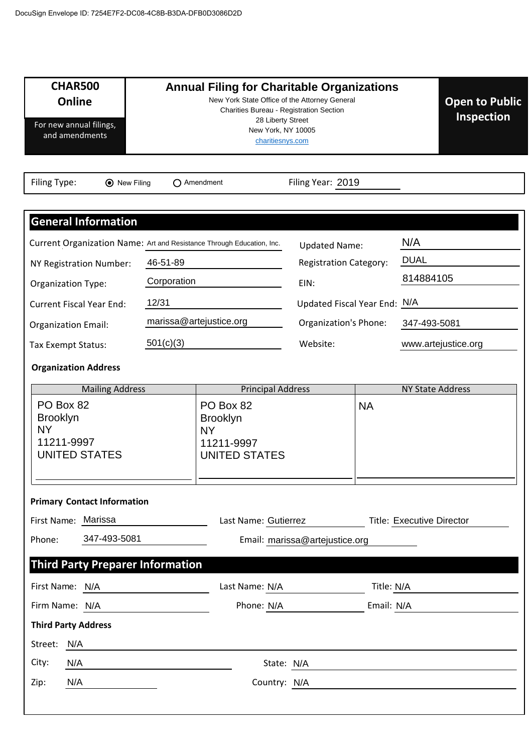| <b>CHAR500</b><br><b>Online</b><br>For new annual filings,<br>and amendments                        |             | <b>Annual Filing for Charitable Organizations</b><br>New York State Office of the Attorney General<br>Charities Bureau - Registration Section<br>28 Liberty Street<br>New York, NY 10005<br>charitiesnys.com |                                                       |            | <b>Open to Public</b><br><b>Inspection</b> |
|-----------------------------------------------------------------------------------------------------|-------------|--------------------------------------------------------------------------------------------------------------------------------------------------------------------------------------------------------------|-------------------------------------------------------|------------|--------------------------------------------|
| Filing Type:<br><b>⊙</b> New Filing                                                                 |             | $\bigcap$ Amendment                                                                                                                                                                                          | Filing Year: 2019                                     |            |                                            |
| <b>General Information</b><br>Current Organization Name: Art and Resistance Through Education, Inc. | 46-51-89    |                                                                                                                                                                                                              | <b>Updated Name:</b><br><b>Registration Category:</b> |            | N/A<br><b>DUAL</b>                         |
| NY Registration Number:<br><b>Organization Type:</b>                                                | Corporation |                                                                                                                                                                                                              | EIN:                                                  |            | 814884105                                  |
| <b>Current Fiscal Year End:</b>                                                                     | 12/31       |                                                                                                                                                                                                              | Updated Fiscal Year End: N/A                          |            |                                            |
| <b>Organization Email:</b>                                                                          |             | marissa@artejustice.org                                                                                                                                                                                      | Organization's Phone:                                 |            | 347-493-5081                               |
| Tax Exempt Status:                                                                                  | 501(c)(3)   |                                                                                                                                                                                                              | Website:                                              |            | www.artejustice.org                        |
| <b>Organization Address</b>                                                                         |             |                                                                                                                                                                                                              |                                                       |            |                                            |
| <b>Mailing Address</b>                                                                              |             | <b>Principal Address</b>                                                                                                                                                                                     |                                                       |            | <b>NY State Address</b>                    |
| PO Box 82<br><b>Brooklyn</b><br><b>NY</b><br>11211-9997<br><b>UNITED STATES</b>                     |             | PO Box 82<br><b>Brooklyn</b><br><b>NY</b><br>11211-9997<br><b>UNITED STATES</b>                                                                                                                              |                                                       | <b>NA</b>  |                                            |
| <b>Primary Contact Information</b>                                                                  |             |                                                                                                                                                                                                              |                                                       |            |                                            |
| First Name: Marissa                                                                                 |             | Last Name: Gutierrez                                                                                                                                                                                         |                                                       |            | <b>Title: Executive Director</b>           |
| 347-493-5081<br>Phone:                                                                              |             |                                                                                                                                                                                                              | Email: marissa@artejustice.org                        |            |                                            |
| <b>Third Party Preparer Information</b>                                                             |             |                                                                                                                                                                                                              |                                                       |            |                                            |
| First Name: N/A                                                                                     |             | Last Name: N/A                                                                                                                                                                                               |                                                       | Title: N/A |                                            |
| Firm Name: N/A                                                                                      |             | Phone: N/A                                                                                                                                                                                                   |                                                       | Email: N/A |                                            |
| <b>Third Party Address</b><br>Street: N/A                                                           |             |                                                                                                                                                                                                              |                                                       |            |                                            |
| City:<br>N/A                                                                                        |             | State: N/A                                                                                                                                                                                                   |                                                       |            |                                            |
| N/A<br>Zip:                                                                                         |             | Country: N/A                                                                                                                                                                                                 |                                                       |            |                                            |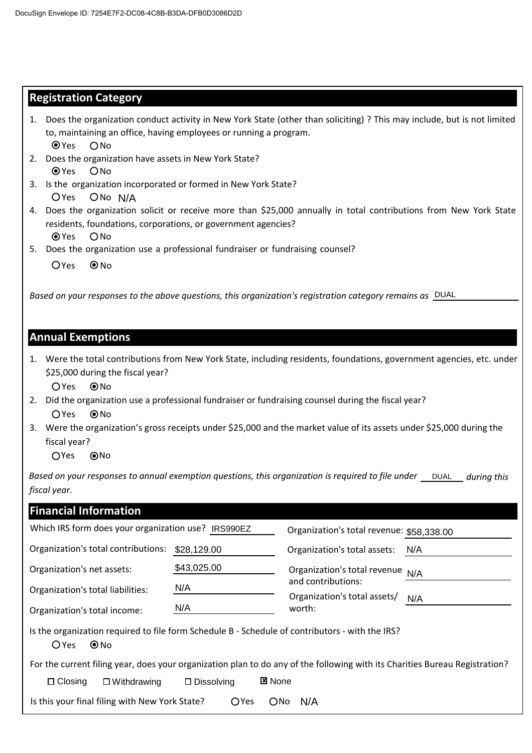### **Registration Category**

|               | 1. Does the organization conduct activity in New York State (other than soliciting)? This may include, but is not limited |
|---------------|---------------------------------------------------------------------------------------------------------------------------|
|               | to, maintaining an office, having employees or running a program.                                                         |
| $\bullet$ Yes | ∩No                                                                                                                       |

- 2. Does the organization have assets in New York State? OYes ONo
- OYes ONo N/A 3. Is the organization incorporated or formed in New York State?
- 4. Does the organization solicit or receive more than \$25,000 annually in total contributions from New York State residents, foundations, corporations, or government agencies? O Yes O No N/A<br>ation solicit or receive more than \$25,000 annually in total contributions from N<br>ions, corporations, or government agencies?<br>tion use a professional fundraiser or fundraising counsel?<br>es to the above auestions, this o
- 5. Does the organization use a professional fundraiser or fundraising counsel?
	- $OYes$   $@No$

*Based on your responses to the above questions, this organization's registration category remains as*

#### **Annual Exemptions**

1. Were the total contributions from New York State, including residents, foundations, government agencies, etc. under \$25,000 during the fiscal year?

OYes ONo

- 2. Did the organization use a professional fundraiser or fundraising counsel during the fiscal year? OYes ONo
- 3. Were the organization's gross receipts under \$25,000 and the market value of its assets under \$25,000 during the fiscal year?

OYes ONo

Based on your responses to annual exemption questions, this organization is required to file under \_\_\_DUAL\_\_\_ during this *fiscal year.*

| <b>Financial Information</b>                                                                                                |                                       |                                           |     |
|-----------------------------------------------------------------------------------------------------------------------------|---------------------------------------|-------------------------------------------|-----|
| Which IRS form does your organization use? IRS990EZ                                                                         |                                       | Organization's total revenue: \$58,338.00 |     |
| Organization's total contributions:                                                                                         | \$28,129.00                           | Organization's total assets:              | N/A |
| Organization's net assets:                                                                                                  | \$43,025.00                           | Organization's total revenue              | N/A |
| N/A<br>Organization's total liabilities:                                                                                    |                                       | and contributions:                        |     |
| N/A<br>Organization's total income:                                                                                         |                                       | Organization's total assets/<br>worth:    | N/A |
| Is the organization required to file form Schedule B - Schedule of contributors - with the IRS?<br>$\odot$ No<br>$O$ Yes    |                                       |                                           |     |
| For the current filing year, does your organization plan to do any of the following with its Charities Bureau Registration? |                                       |                                           |     |
| $\Box$ Closing<br>$\Box$ Withdrawing                                                                                        | <b>⊠</b> None<br>$\square$ Dissolving |                                           |     |
| Is this your final filing with New York State?                                                                              | <b>OYes</b><br>$O$ No                 | N/A                                       |     |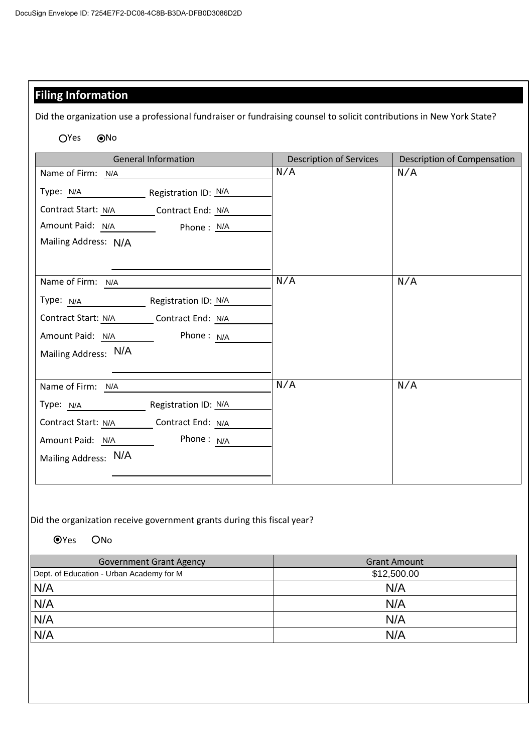## **Filing Information**

Did the organization use a professional fundraiser or fundraising counsel to solicit contributions in New York State?

OYes <sup>ONo</sup>

| <b>General Information</b>                                          | <b>Description of Services</b> | Description of Compensation |
|---------------------------------------------------------------------|--------------------------------|-----------------------------|
| Name of Firm: N/A                                                   | N/A                            | N/A                         |
| Type: N/A Registration ID: N/A                                      |                                |                             |
| Contract Start: N/A _________ Contract End: N/A                     |                                |                             |
| Amount Paid: N/A ___________ Phone : N/A                            |                                |                             |
| Mailing Address: N/A                                                |                                |                             |
|                                                                     |                                |                             |
| Name of Firm: N/A                                                   | N/A                            | N/A                         |
| Туре: <u>N/A __________________________</u><br>Registration ID: N/A |                                |                             |
| Contract Start: N/A Contract End: N/A                               |                                |                             |
| Phone: $N/A$<br>Amount Paid: N/A                                    |                                |                             |
| Mailing Address: N/A                                                |                                |                             |
|                                                                     |                                |                             |
| Name of Firm: N/A                                                   | N/A                            | N/A                         |
| Registration ID: N/A<br>Type: N/A                                   |                                |                             |
| Contract Start: N/A Contract End: N/A                               |                                |                             |
| Phone: $N/A$<br>Amount Paid: N/A                                    |                                |                             |
| Mailing Address: N/A                                                |                                |                             |
|                                                                     |                                |                             |

Did the organization receive government grants during this fiscal year?

OYes ONo

| <b>Government Grant Agency</b>           | <b>Grant Amount</b> |
|------------------------------------------|---------------------|
| Dept. of Education - Urban Academy for M | \$12,500.00         |
| N/A                                      | N/A                 |
| N/A                                      | N/A                 |
| N/A                                      | N/A                 |
| N/A                                      | N/A                 |